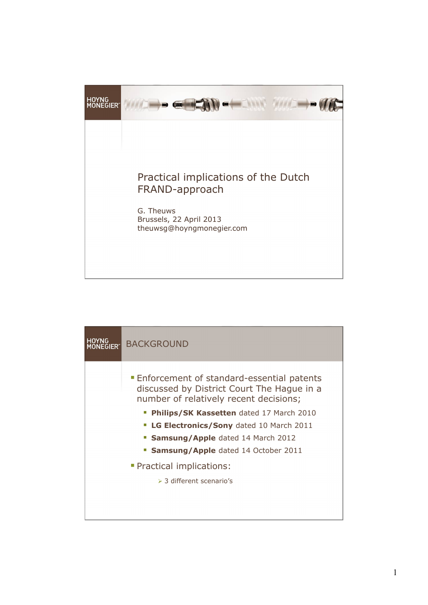

| <b>HOYNG</b><br>EGIFR"                           | <b>BACKGROUND</b>                                                                                                                        |  |
|--------------------------------------------------|------------------------------------------------------------------------------------------------------------------------------------------|--|
|                                                  | <b>Enforcement of standard-essential patents</b><br>discussed by District Court The Hague in a<br>number of relatively recent decisions; |  |
|                                                  | Philips/SK Kassetten dated 17 March 2010                                                                                                 |  |
| <b>- LG Electronics/Sony</b> dated 10 March 2011 |                                                                                                                                          |  |
|                                                  | <b>Samsung/Apple</b> dated 14 March 2012                                                                                                 |  |
|                                                  | <b>Samsung/Apple</b> dated 14 October 2011                                                                                               |  |
|                                                  | • Practical implications:                                                                                                                |  |
|                                                  | $>$ 3 different scenario's                                                                                                               |  |
|                                                  |                                                                                                                                          |  |
|                                                  |                                                                                                                                          |  |
|                                                  |                                                                                                                                          |  |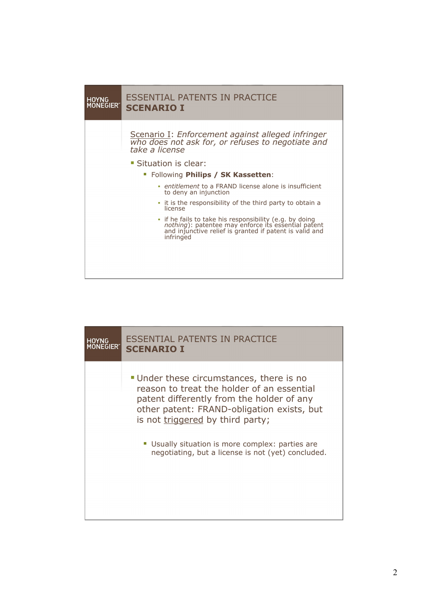

| <u>H</u> OYNG | <b>ESSENTIAL PATENTS IN PRACTICE</b>                                                                                                                                                                                                                                                                                            |
|---------------|---------------------------------------------------------------------------------------------------------------------------------------------------------------------------------------------------------------------------------------------------------------------------------------------------------------------------------|
| <b>NEGIER</b> | <b>SCENARIO I</b>                                                                                                                                                                                                                                                                                                               |
|               | • Under these circumstances, there is no<br>reason to treat the holder of an essential<br>patent differently from the holder of any<br>other patent: FRAND-obligation exists, but<br>is not triggered by third party;<br>• Usually situation is more complex: parties are<br>negotiating, but a license is not (yet) concluded. |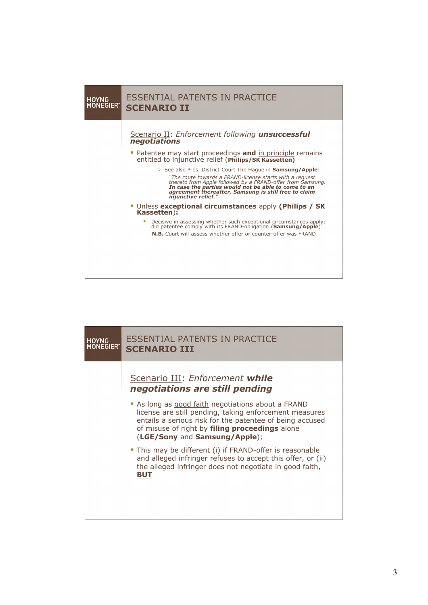

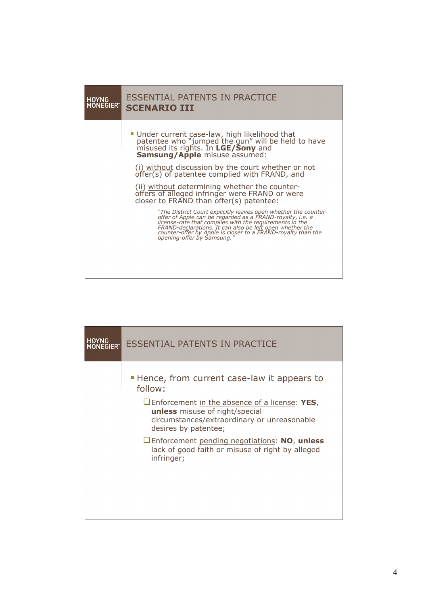

| <b>HOYNG</b><br><b>JEGIER"</b> | <b>ESSENTIAL PATENTS IN PRACTICE</b>                                                                                                                                 |
|--------------------------------|----------------------------------------------------------------------------------------------------------------------------------------------------------------------|
|                                | • Hence, from current case-law it appears to<br>follow:                                                                                                              |
|                                | $\Box$ Enforcement in the absence of a license: YES,<br><b>unless</b> misuse of right/special<br>circumstances/extraordinary or unreasonable<br>desires by patentee; |
|                                | <b>U</b> Enforcement pending negotiations: NO, unless<br>lack of good faith or misuse of right by alleged<br>infringer;                                              |
|                                |                                                                                                                                                                      |
|                                |                                                                                                                                                                      |